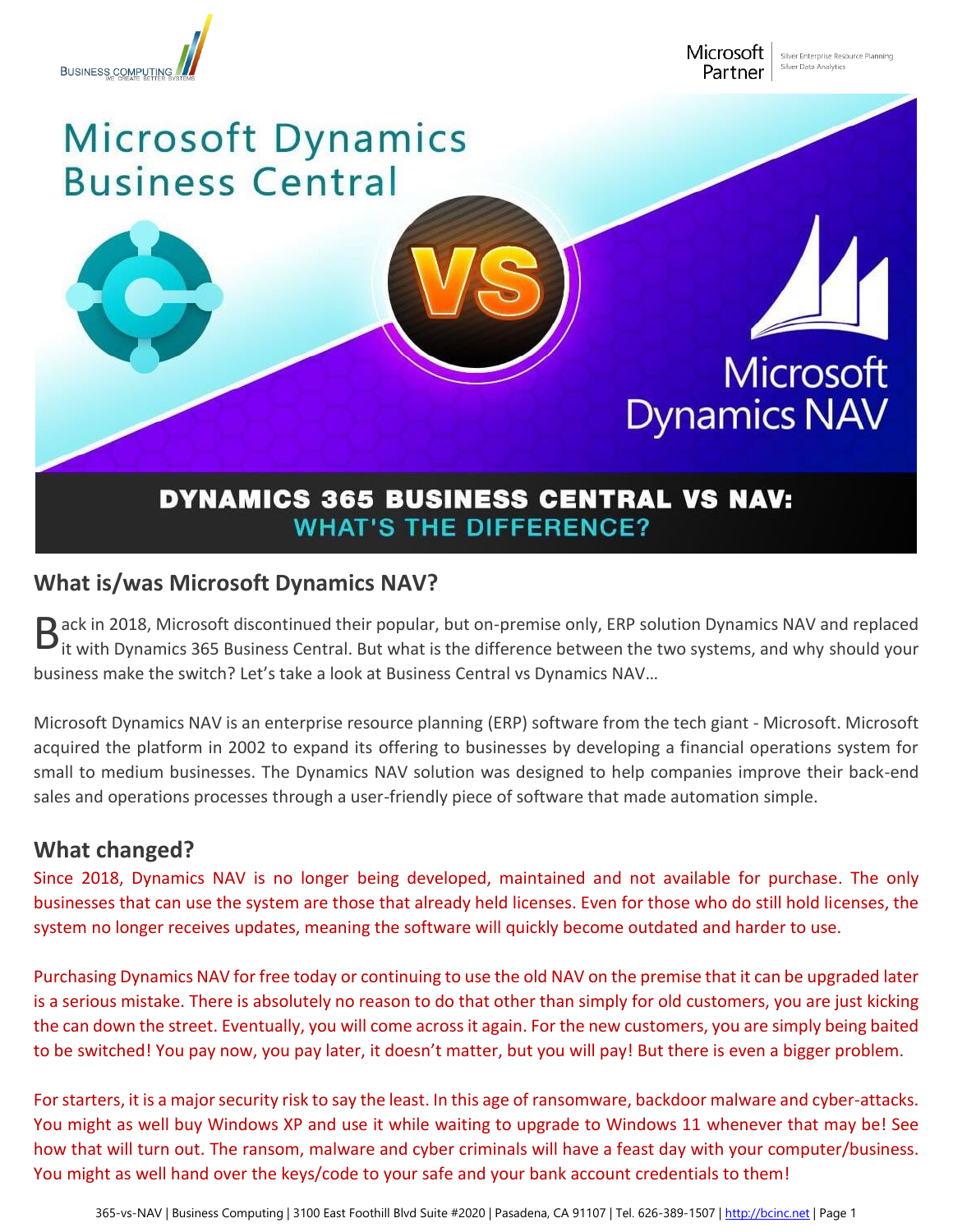

Microsoft Partner

## Microsoft Dynamics **Business Central**

## **Microsoft Dynamics NAV**

## **DYNAMICS 365 BUSINESS CENTRAL VS NAV: WHAT'S THE DIFFERENCE?**

## **What is/was Microsoft Dynamics NAV?**

ack in 2018, Microsoft discontinued their popular, but on-premise only, ERP solution Dynamics NAV and replaced B ack in 2018, Microsoft discontinued their popular, but on-premise only, ERP solution Dynamics NAV and replaced<br>It with Dynamics 365 Business Central. But what is the difference between the two systems, and why should you business make the switch? Let's take a look at Business Central vs Dynamics NAV…

Microsoft Dynamics NAV is an enterprise resource planning (ERP) software from the tech giant - Microsoft. Microsoft acquired the platform in 2002 to expand its offering to businesses by developing a financial operations system for small to medium businesses. The Dynamics NAV solution was designed to help companies improve their back-end sales and operations processes through a user-friendly piece of software that made automation simple.

### **What changed?**

Since 2018, Dynamics NAV is no longer being developed, maintained and not available for purchase. The only businesses that can use the system are those that already held licenses. Even for those who do still hold licenses, the system no longer receives updates, meaning the software will quickly become outdated and harder to use.

Purchasing Dynamics NAV for free today or continuing to use the old NAV on the premise that it can be upgraded later is a serious mistake. There is absolutely no reason to do that other than simply for old customers, you are just kicking the can down the street. Eventually, you will come across it again. For the new customers, you are simply being baited to be switched! You pay now, you pay later, it doesn't matter, but you will pay! But there is even a bigger problem.

For starters, it is a major security risk to say the least. In this age of ransomware, backdoor malware and cyber-attacks. You might as well buy Windows XP and use it while waiting to upgrade to Windows 11 whenever that may be! See how that will turn out. The ransom, malware and cyber criminals will have a feast day with your computer/business. You might as well hand over the keys/code to your safe and your bank account credentials to them!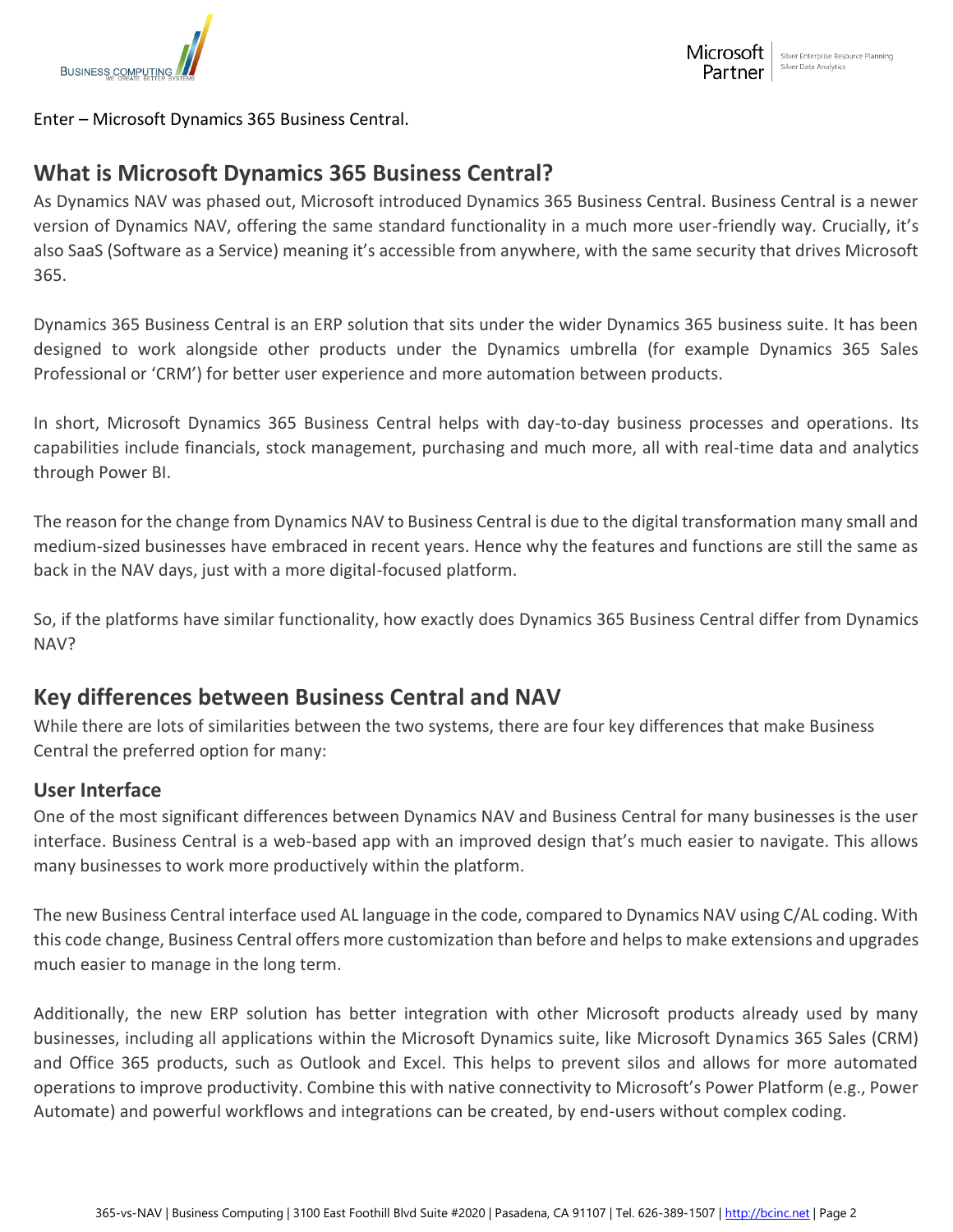

Enter – Microsoft Dynamics 365 Business Central.

### **What is Microsoft Dynamics 365 Business Central?**

As Dynamics NAV was phased out, Microsoft introduced Dynamics 365 Business Central. Business Central is a newer version of Dynamics NAV, offering the same standard functionality in a much more user-friendly way. Crucially, it's also SaaS (Software as a Service) meaning it's accessible from anywhere, with the same security that drives Microsoft 365.

Dynamics 365 Business Central is an ERP solution that sits under the wider Dynamics 365 business suite. It has been designed to work alongside other products under the Dynamics umbrella (for example Dynamics 365 Sales Professional or 'CRM') for better user experience and more automation between products.

In short, Microsoft Dynamics 365 Business Central helps with day-to-day business processes and operations. Its capabilities include financials, stock management, purchasing and much more, all with real-time data and analytics through Power BI.

The reason for the change from Dynamics NAV to Business Central is due to the digital transformation many small and medium-sized businesses have embraced in recent years. Hence why the features and functions are still the same as back in the NAV days, just with a more digital-focused platform.

So, if the platforms have similar functionality, how exactly does Dynamics 365 Business Central differ from Dynamics NAV?

### **Key differences between Business Central and NAV**

While there are lots of similarities between the two systems, there are four key differences that make Business Central the preferred option for many:

#### **User Interface**

One of the most significant differences between Dynamics NAV and Business Central for many businesses is the user interface. Business Central is a web-based app with an improved design that's much easier to navigate. This allows many businesses to work more productively within the platform.

The new Business Central interface used AL language in the code, compared to Dynamics NAV using C/AL coding. With this code change, Business Central offers more customization than before and helps to make extensions and upgrades much easier to manage in the long term.

Additionally, the new ERP solution has better integration with other Microsoft products already used by many businesses, including all applications within the Microsoft Dynamics suite, like Microsoft Dynamics 365 Sales (CRM) and Office 365 products, such as Outlook and Excel. This helps to prevent silos and allows for more automated operations to improve productivity. Combine this with native connectivity to Microsoft's Power Platform (e.g., Power Automate) and powerful workflows and integrations can be created, by end-users without complex coding.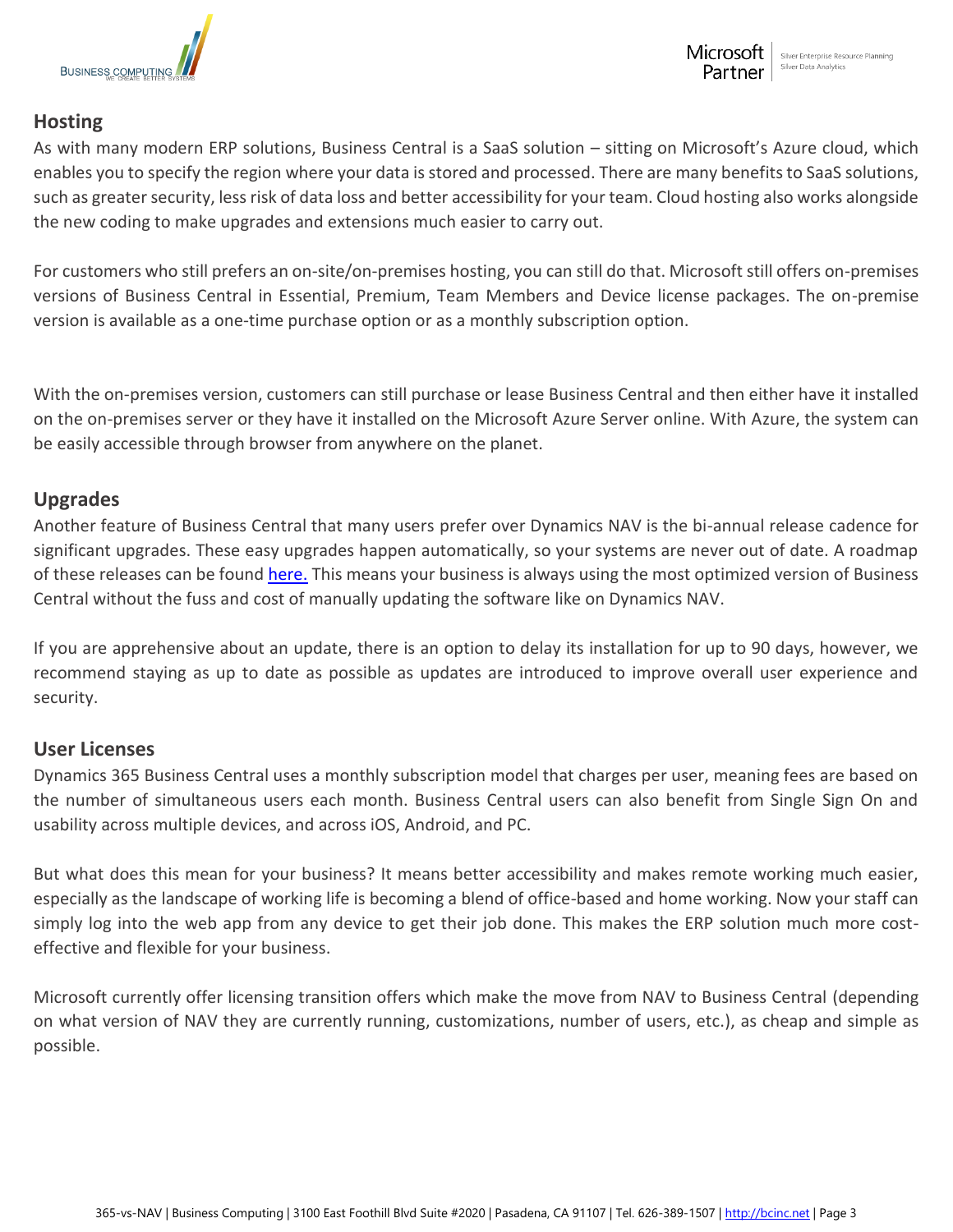

#### **Hosting**

As with many modern ERP solutions, Business Central is a SaaS solution – sitting on Microsoft's Azure cloud, which enables you to specify the region where your data is stored and processed. There are many benefits to SaaS solutions, such as greater security, less risk of data loss and better accessibility for your team. Cloud hosting also works alongside the new coding to make upgrades and extensions much easier to carry out.

For customers who still prefers an on-site/on-premises hosting, you can still do that. Microsoft still offers on-premises versions of Business Central in Essential, Premium, Team Members and Device license packages. The on-premise version is available as a one-time purchase option or as a monthly subscription option.

With the on-premises version, customers can still purchase or lease Business Central and then either have it installed on the on-premises server or they have it installed on the Microsoft Azure Server online. With Azure, the system can be easily accessible through browser from anywhere on the planet.

#### **Upgrades**

Another feature of Business Central that many users prefer over Dynamics NAV is the bi-annual release cadence for significant upgrades. These easy upgrades happen automatically, so your systems are never out of date. A roadmap of these releases can be found [here.](https://docs.microsoft.com/en-us/dynamics365/get-started/release-schedule) This means your business is always using the most optimized version of Business Central without the fuss and cost of manually updating the software like on Dynamics NAV.

If you are apprehensive about an update, there is an option to delay its installation for up to 90 days, however, we recommend staying as up to date as possible as updates are introduced to improve overall user experience and security.

#### **User Licenses**

Dynamics 365 Business Central uses a monthly subscription model that charges per user, meaning fees are based on the number of simultaneous users each month. Business Central users can also benefit from Single Sign On and usability across multiple devices, and across iOS, Android, and PC.

But what does this mean for your business? It means better accessibility and makes remote working much easier, especially as the landscape of working life is becoming a blend of office-based and home working. Now your staff can simply log into the web app from any device to get their job done. This makes the ERP solution much more costeffective and flexible for your business.

Microsoft currently offer licensing transition offers which make the move from NAV to Business Central (depending on what version of NAV they are currently running, customizations, number of users, etc.), as cheap and simple as possible.